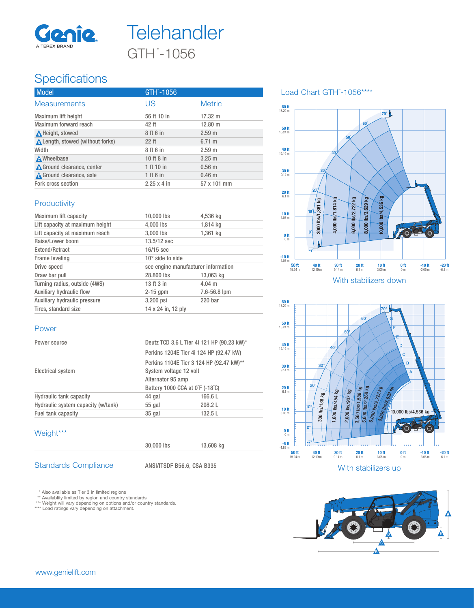



## **Specifications**

| <b>Model</b>                            | GTH -1056          |                   |
|-----------------------------------------|--------------------|-------------------|
| <b>Measurements</b>                     | US                 | <b>Metric</b>     |
| Maximum lift height                     | 56 ft 10 in        | 17.32 m           |
| Maximum forward reach                   | 42 ft              | $12.80 \text{ m}$ |
| A Height, stowed                        | 8 ft 6 in          | 2.59 <sub>m</sub> |
| <b>A</b> Length, stowed (without forks) | $22$ ft            | $6.71 \; m$       |
| Width                                   | 8 ft 6 in          | 2.59 <sub>m</sub> |
| <b>A</b> Wheelbase                      | 10 ft 8 in         | $3.25 \; m$       |
| Ground clearance, center                | 1 ft 10 in         | $0.56$ m          |
| <b>A</b> Ground clearance, axle         | 1 ft 6 in          | $0.46$ m          |
| Fork cross section                      | $2.25 \times 4$ in | 57 x 101 mm       |

#### **Productivity**

| Maximum lift capacity           | 10,000 lbs              | 4,536 kg                            |  |  |
|---------------------------------|-------------------------|-------------------------------------|--|--|
| Lift capacity at maximum height | 4,000 lbs               | 1,814 kg                            |  |  |
| Lift capacity at maximum reach  | 3,000 lbs               | 1,361 kg                            |  |  |
| Raise/Lower boom                | 13.5/12 sec             |                                     |  |  |
| Extend/Retract                  | $16/15$ sec             |                                     |  |  |
| Frame leveling                  | $10^\circ$ side to side |                                     |  |  |
| Drive speed                     |                         | see engine manufacturer information |  |  |
| Draw bar pull                   | 28,800 lbs              | 13.063 kg                           |  |  |
| Turning radius, outside (4WS)   | 13 ft 3 in              | $4.04 \text{ m}$                    |  |  |
| Auxiliary hydraulic flow        | $2-15$ gpm              | 7.6-56.8 lpm                        |  |  |
| Auxiliary hydraulic pressure    | 3,200 psi               | 220 bar                             |  |  |
| Tires, standard size            | 14 x 24 in, 12 ply      |                                     |  |  |

#### Power

| Power source                       | Deutz TCD 3.6 L Tier 4i 121 HP (90.23 kW)*<br>Perkins 1204E Tier 4i 124 HP (92.47 kW)<br>Perkins 1104E Tier 3 124 HP (92.47 kW)** |         |  |
|------------------------------------|-----------------------------------------------------------------------------------------------------------------------------------|---------|--|
|                                    |                                                                                                                                   |         |  |
|                                    |                                                                                                                                   |         |  |
| <b>Electrical system</b>           | System voltage 12 volt                                                                                                            |         |  |
|                                    | Alternator 95 amp                                                                                                                 |         |  |
|                                    | Battery 1000 CCA at 0°F (-18°C)                                                                                                   |         |  |
| <b>Hydraulic tank capacity</b>     | 44 gal                                                                                                                            | 166.6L  |  |
| Hydraulic system capacity (w/tank) | $55$ gal                                                                                                                          | 208.2L  |  |
| Fuel tank capacity                 | 35 gal                                                                                                                            | 132.5 L |  |
|                                    |                                                                                                                                   |         |  |

### Weight\*\*\*

| <b>Standards Compliance</b> |  |
|-----------------------------|--|

Standards Compliance ANSI/ITSDF B56.6, CSA B335

30,000 lbs 13,608 kg

\* Also available as Tier 3 in limited regions<br>\*\*\* Availablity limited by region and country standards<br>\*\*\* Weight will vary depending on options and/or country standards.<br>\*\*\*\* Load ratings vary depending on attachment.

#### Load Chart GTH™-1056\*\*\*\*





With stabilizers up